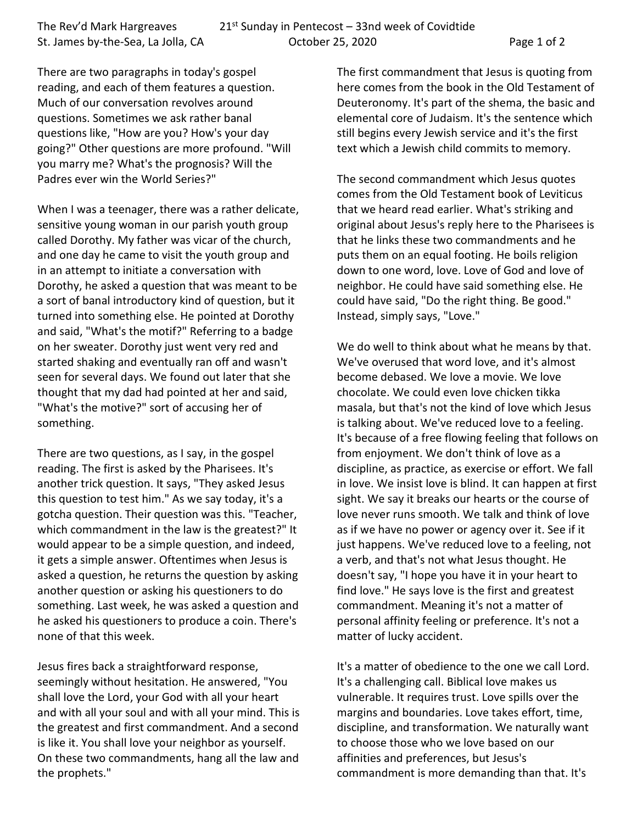The Rev'd Mark Hargreaves 21st Sunday in Pentecost  $-$  33nd week of Covidtide St. James by-the-Sea, La Jolla, CA October 25, 2020 Page 1 of 2

There are two paragraphs in today's gospel reading, and each of them features a question. Much of our conversation revolves around questions. Sometimes we ask rather banal questions like, "How are you? How's your day going?" Other questions are more profound. "Will you marry me? What's the prognosis? Will the Padres ever win the World Series?"

When I was a teenager, there was a rather delicate, sensitive young woman in our parish youth group called Dorothy. My father was vicar of the church, and one day he came to visit the youth group and in an attempt to initiate a conversation with Dorothy, he asked a question that was meant to be a sort of banal introductory kind of question, but it turned into something else. He pointed at Dorothy and said, "What's the motif?" Referring to a badge on her sweater. Dorothy just went very red and started shaking and eventually ran off and wasn't seen for several days. We found out later that she thought that my dad had pointed at her and said, "What's the motive?" sort of accusing her of something.

There are two questions, as I say, in the gospel reading. The first is asked by the Pharisees. It's another trick question. It says, "They asked Jesus this question to test him." As we say today, it's a gotcha question. Their question was this. "Teacher, which commandment in the law is the greatest?" It would appear to be a simple question, and indeed, it gets a simple answer. Oftentimes when Jesus is asked a question, he returns the question by asking another question or asking his questioners to do something. Last week, he was asked a question and he asked his questioners to produce a coin. There's none of that this week.

Jesus fires back a straightforward response, seemingly without hesitation. He answered, "You shall love the Lord, your God with all your heart and with all your soul and with all your mind. This is the greatest and first commandment. And a second is like it. You shall love your neighbor as yourself. On these two commandments, hang all the law and the prophets."

The first commandment that Jesus is quoting from here comes from the book in the Old Testament of Deuteronomy. It's part of the shema, the basic and elemental core of Judaism. It's the sentence which still begins every Jewish service and it's the first text which a Jewish child commits to memory.

The second commandment which Jesus quotes comes from the Old Testament book of Leviticus that we heard read earlier. What's striking and original about Jesus's reply here to the Pharisees is that he links these two commandments and he puts them on an equal footing. He boils religion down to one word, love. Love of God and love of neighbor. He could have said something else. He could have said, "Do the right thing. Be good." Instead, simply says, "Love."

We do well to think about what he means by that. We've overused that word love, and it's almost become debased. We love a movie. We love chocolate. We could even love chicken tikka masala, but that's not the kind of love which Jesus is talking about. We've reduced love to a feeling. It's because of a free flowing feeling that follows on from enjoyment. We don't think of love as a discipline, as practice, as exercise or effort. We fall in love. We insist love is blind. It can happen at first sight. We say it breaks our hearts or the course of love never runs smooth. We talk and think of love as if we have no power or agency over it. See if it just happens. We've reduced love to a feeling, not a verb, and that's not what Jesus thought. He doesn't say, "I hope you have it in your heart to find love." He says love is the first and greatest commandment. Meaning it's not a matter of personal affinity feeling or preference. It's not a matter of lucky accident.

It's a matter of obedience to the one we call Lord. It's a challenging call. Biblical love makes us vulnerable. It requires trust. Love spills over the margins and boundaries. Love takes effort, time, discipline, and transformation. We naturally want to choose those who we love based on our affinities and preferences, but Jesus's commandment is more demanding than that. It's